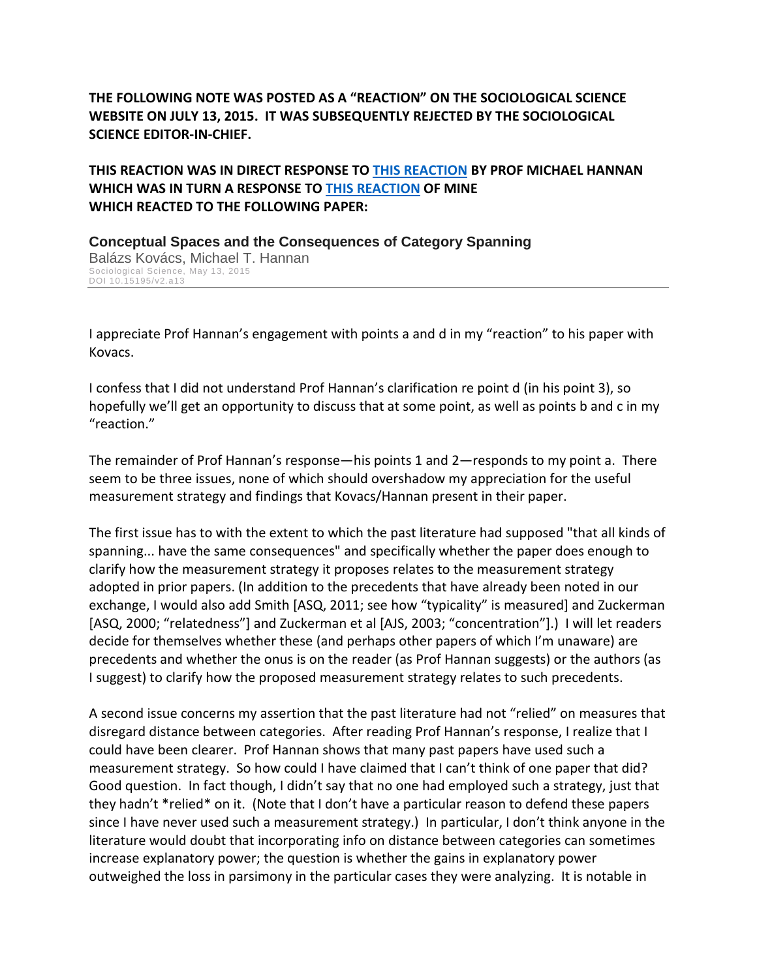**THE FOLLOWING NOTE WAS POSTED AS A "REACTION" ON THE SOCIOLOGICAL SCIENCE WEBSITE ON JULY 13, 2015. IT WAS SUBSEQUENTLY REJECTED BY THE SOCIOLOGICAL SCIENCE EDITOR-IN-CHIEF.** 

**THIS REACTION WAS IN DIRECT RESPONSE TO [THIS REACTION](https://www.sociologicalscience.com/articles-v2-13-252/%23comment-8013) BY PROF MICHAEL HANNAN WHICH WAS IN TURN A RESPONSE TO [THIS REACTION](https://www.sociologicalscience.com/articles-v2-13-252/%23comment-7771) OF MINE WHICH REACTED TO THE FOLLOWING PAPER:**

**Conceptual Spaces and the Consequences of Category Spanning** Balázs Kovács, Michael T. Hannan Sociological Science, May 13, 2015 DOI 10.15195/v2.a13

I appreciate Prof Hannan's engagement with points a and d in my "reaction" to his paper with Kovacs.

I confess that I did not understand Prof Hannan's clarification re point d (in his point 3), so hopefully we'll get an opportunity to discuss that at some point, as well as points b and c in my "reaction."

The remainder of Prof Hannan's response—his points 1 and 2—responds to my point a. There seem to be three issues, none of which should overshadow my appreciation for the useful measurement strategy and findings that Kovacs/Hannan present in their paper.

The first issue has to with the extent to which the past literature had supposed "that all kinds of spanning... have the same consequences" and specifically whether the paper does enough to clarify how the measurement strategy it proposes relates to the measurement strategy adopted in prior papers. (In addition to the precedents that have already been noted in our exchange, I would also add Smith [ASQ, 2011; see how "typicality" is measured] and Zuckerman [ASQ, 2000; "relatedness"] and Zuckerman et al [AJS, 2003; "concentration"].) I will let readers decide for themselves whether these (and perhaps other papers of which I'm unaware) are precedents and whether the onus is on the reader (as Prof Hannan suggests) or the authors (as I suggest) to clarify how the proposed measurement strategy relates to such precedents.

A second issue concerns my assertion that the past literature had not "relied" on measures that disregard distance between categories. After reading Prof Hannan's response, I realize that I could have been clearer. Prof Hannan shows that many past papers have used such a measurement strategy. So how could I have claimed that I can't think of one paper that did? Good question. In fact though, I didn't say that no one had employed such a strategy, just that they hadn't \*relied\* on it. (Note that I don't have a particular reason to defend these papers since I have never used such a measurement strategy.) In particular, I don't think anyone in the literature would doubt that incorporating info on distance between categories can sometimes increase explanatory power; the question is whether the gains in explanatory power outweighed the loss in parsimony in the particular cases they were analyzing. It is notable in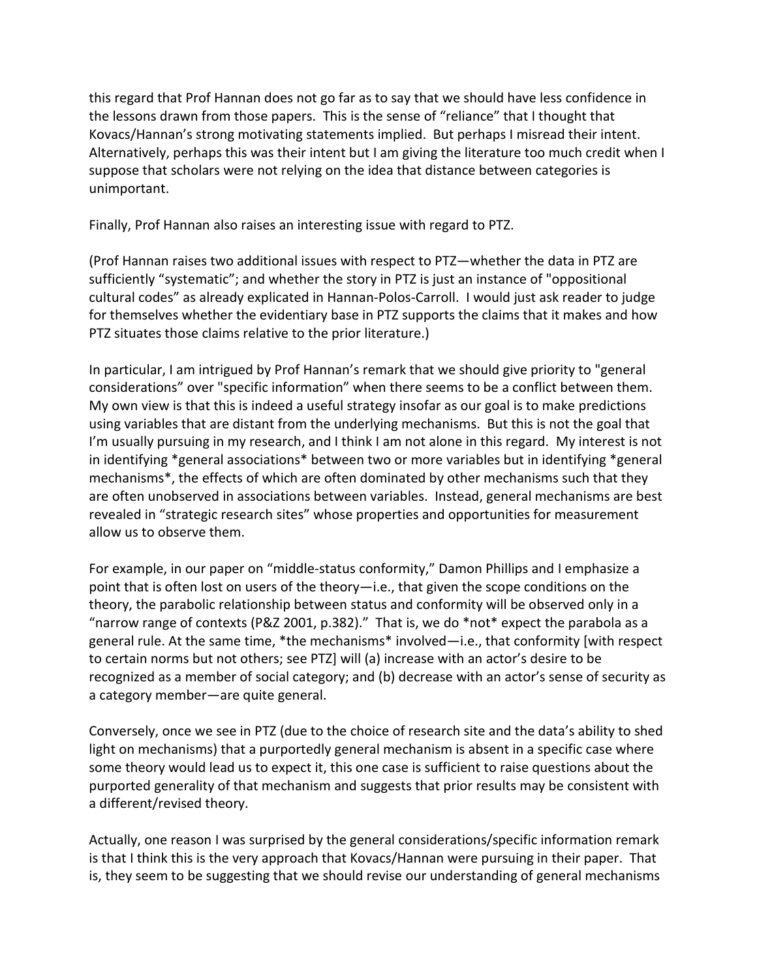this regard that Prof Hannan does not go far as to say that we should have less confidence in the lessons drawn from those papers. This is the sense of "reliance" that I thought that Kovacs/Hannan's strong motivating statements implied. But perhaps I misread their intent. Alternatively, perhaps this was their intent but I am giving the literature too much credit when I suppose that scholars were not relying on the idea that distance between categories is unimportant.

Finally, Prof Hannan also raises an interesting issue with regard to PTZ.

(Prof Hannan raises two additional issues with respect to PTZ—whether the data in PTZ are sufficiently "systematic"; and whether the story in PTZ is just an instance of "oppositional cultural codes" as already explicated in Hannan-Polos-Carroll. I would just ask reader to judge for themselves whether the evidentiary base in PTZ supports the claims that it makes and how PTZ situates those claims relative to the prior literature.)

In particular, I am intrigued by Prof Hannan's remark that we should give priority to "general considerations" over "specific information" when there seems to be a conflict between them. My own view is that this is indeed a useful strategy insofar as our goal is to make predictions using variables that are distant from the underlying mechanisms. But this is not the goal that I'm usually pursuing in my research, and I think I am not alone in this regard. My interest is not in identifying \*general associations\* between two or more variables but in identifying \*general mechanisms\*, the effects of which are often dominated by other mechanisms such that they are often unobserved in associations between variables. Instead, general mechanisms are best revealed in "strategic research sites" whose properties and opportunities for measurement allow us to observe them.

For example, in our paper on "middle-status conformity," Damon Phillips and I emphasize a point that is often lost on users of the theory—i.e., that given the scope conditions on the theory, the parabolic relationship between status and conformity will be observed only in a "narrow range of contexts (P&Z 2001, p.382)." That is, we do \*not\* expect the parabola as a general rule. At the same time, \*the mechanisms\* involved—i.e., that conformity [with respect to certain norms but not others; see PTZ] will (a) increase with an actor's desire to be recognized as a member of social category; and (b) decrease with an actor's sense of security as a category member—are quite general.

Conversely, once we see in PTZ (due to the choice of research site and the data's ability to shed light on mechanisms) that a purportedly general mechanism is absent in a specific case where some theory would lead us to expect it, this one case is sufficient to raise questions about the purported generality of that mechanism and suggests that prior results may be consistent with a different/revised theory.

Actually, one reason I was surprised by the general considerations/specific information remark is that I think this is the very approach that Kovacs/Hannan were pursuing in their paper. That is, they seem to be suggesting that we should revise our understanding of general mechanisms